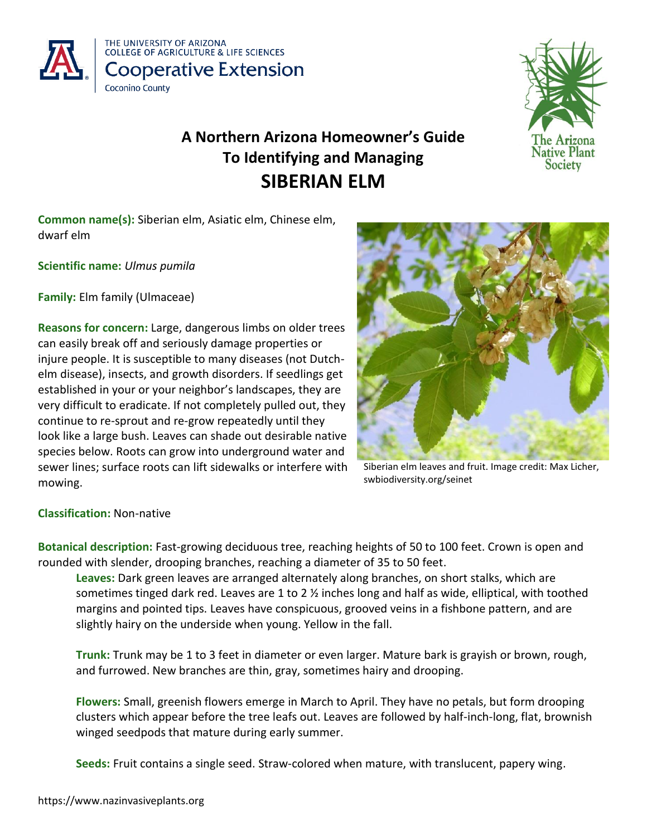



# **A Northern Arizona Homeowner's Guide To Identifying and Managing SIBERIAN ELM**

**Common name(s):** Siberian elm, Asiatic elm, Chinese elm, dwarf elm

**Scientific name:** *Ulmus pumila*

**Family:** Elm family (Ulmaceae)

**Reasons for concern:** Large, dangerous limbs on older trees can easily break off and seriously damage properties or injure people. It is susceptible to many diseases (not Dutchelm disease), insects, and growth disorders. If seedlings get established in your or your neighbor's landscapes, they are very difficult to eradicate. If not completely pulled out, they continue to re-sprout and re-grow repeatedly until they look like a large bush. Leaves can shade out desirable native species below. Roots can grow into underground water and sewer lines; surface roots can lift sidewalks or interfere with mowing.



Siberian elm leaves and fruit. Image credit: Max Licher, swbiodiversity.org/seinet

# **Classification:** Non-native

**Botanical description:** Fast-growing deciduous tree, reaching heights of 50 to 100 feet. Crown is open and rounded with slender, drooping branches, reaching a diameter of 35 to 50 feet.

**Leaves:** Dark green leaves are arranged alternately along branches, on short stalks, which are sometimes tinged dark red. Leaves are 1 to 2  $\frac{1}{2}$  inches long and half as wide, elliptical, with toothed margins and pointed tips. Leaves have conspicuous, grooved veins in a fishbone pattern, and are slightly hairy on the underside when young. Yellow in the fall.

**Trunk:** Trunk may be 1 to 3 feet in diameter or even larger. Mature bark is grayish or brown, rough, and furrowed. New branches are thin, gray, sometimes hairy and drooping.

**Flowers:** Small, greenish flowers emerge in March to April. They have no petals, but form drooping clusters which appear before the tree leafs out. Leaves are followed by half-inch-long, flat, brownish winged seedpods that mature during early summer.

**Seeds:** Fruit contains a single seed. Straw-colored when mature, with translucent, papery wing.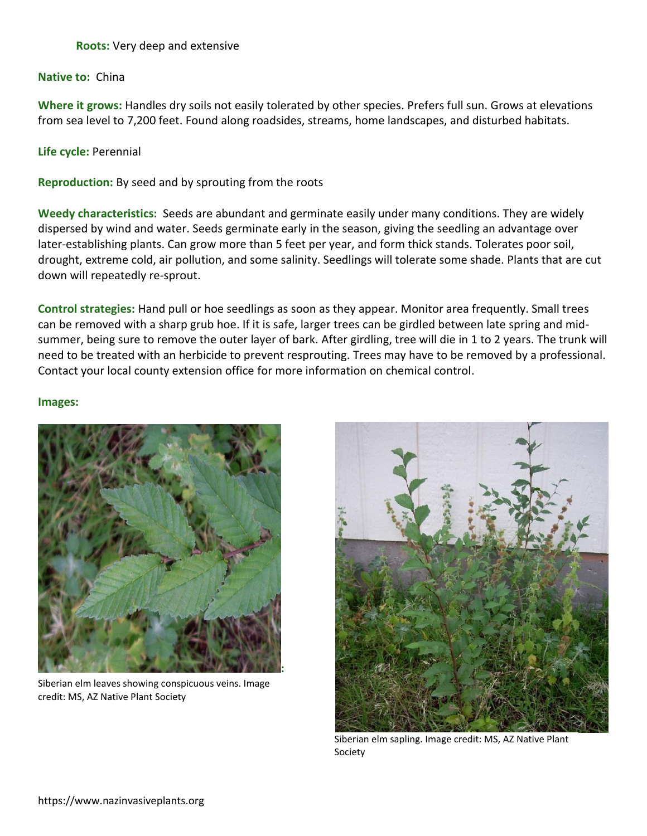## **Roots:** Very deep and extensive

#### **Native to:** China

**Where it grows:** Handles dry soils not easily tolerated by other species. Prefers full sun. Grows at elevations from sea level to 7,200 feet. Found along roadsides, streams, home landscapes, and disturbed habitats.

**Life cycle:** Perennial

**Reproduction:** By seed and by sprouting from the roots

**Weedy characteristics:** Seeds are abundant and germinate easily under many conditions. They are widely dispersed by wind and water. Seeds germinate early in the season, giving the seedling an advantage over later-establishing plants. Can grow more than 5 feet per year, and form thick stands. Tolerates poor soil, drought, extreme cold, air pollution, and some salinity. Seedlings will tolerate some shade. Plants that are cut down will repeatedly re-sprout.

**Control strategies:** Hand pull or hoe seedlings as soon as they appear. Monitor area frequently. Small trees can be removed with a sharp grub hoe. If it is safe, larger trees can be girdled between late spring and midsummer, being sure to remove the outer layer of bark. After girdling, tree will die in 1 to 2 years. The trunk will need to be treated with an herbicide to prevent resprouting. Trees may have to be removed by a professional. Contact your local county extension office for more information on chemical control.

#### **Images:**



Siberian elm leaves showing conspicuous veins. Image credit: MS, AZ Native Plant Society



Siberian elm sapling. Image credit: MS, AZ Native Plant Society